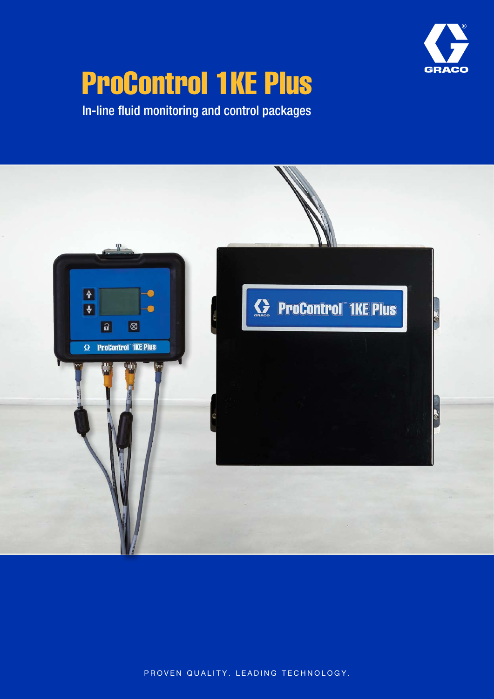

# ProControl 1KE Plus

In-line fluid monitoring and control packages



PROVEN QUALITY. LEADING TECHNOLOGY.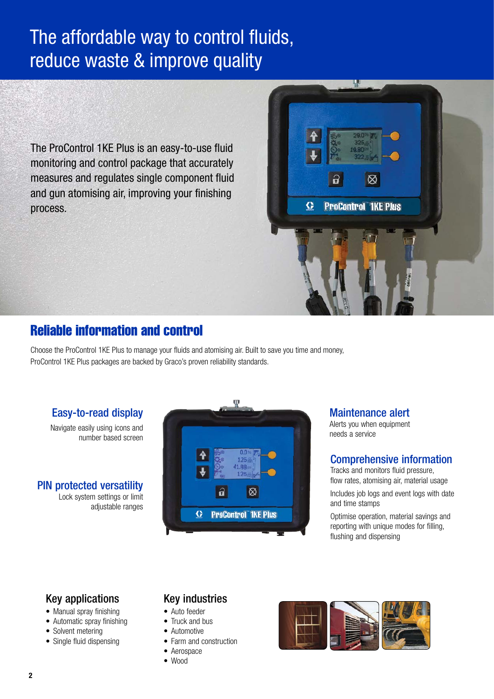# The affordable way to control fluids, reduce waste & improve quality

The ProControl 1KE Plus is an easy-to-use fluid monitoring and control package that accurately measures and regulates single component fluid and gun atomising air, improving your finishing process.



Choose the ProControl 1KE Plus to manage your fluids and atomising air. Built to save you time and money, ProControl 1KE Plus packages are backed by Graco's proven reliability standards.

Easy-to-read display

Navigate easily using icons and number based screen

PIN protected versatility Lock system settings or limit adjustable ranges



Maintenance alert

 $\mathbf{a}$ 

G

 $\infty$ 

**ProControl 1KE Plus** 

Alerts you when equipment needs a service

### Comprehensive information

Tracks and monitors fluid pressure, flow rates, atomising air, material usage Includes job logs and event logs with date and time stamps

Optimise operation, material savings and reporting with unique modes for filling, flushing and dispensing

### Key applications

- Manual spray finishing
- Automatic spray finishing
- Solvent metering
- Single fluid dispensing

### Key industries

- Auto feeder
- Truck and bus
- Automotive
- Farm and construction
- Aerospace
- Wood

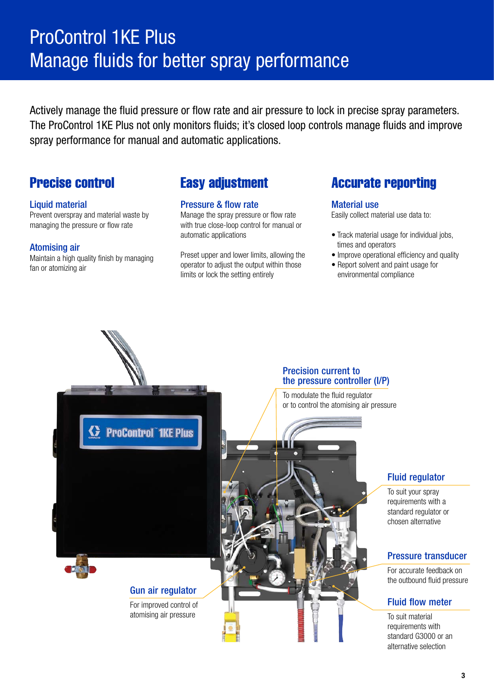# ProControl 1KE Plus Manage fluids for better spray performance

Actively manage the fluid pressure or flow rate and air pressure to lock in precise spray parameters. The ProControl 1KE Plus not only monitors fluids; it's closed loop controls manage fluids and improve spray performance for manual and automatic applications.

#### Liquid material

Prevent overspray and material waste by managing the pressure or flow rate

#### Atomising air

Maintain a high quality finish by managing fan or atomizing air

#### Pressure & flow rate

Manage the spray pressure or flow rate with true close-loop control for manual or automatic applications

Preset upper and lower limits, allowing the operator to adjust the output within those limits or lock the setting entirely

### **Precise control Easy adjustment Accurate reporting**

#### Material use

Easily collect material use data to:

- Track material usage for individual jobs, times and operators
- Improve operational efficiency and quality
- Report solvent and paint usage for environmental compliance



#### Precision current to the pressure controller (I/P)

To modulate the fluid regulator or to control the atomising air pressure

### Fluid regulator

To suit your spray requirements with a standard regulator or chosen alternative

#### Pressure transducer

For accurate feedback on the outbound fluid pressure

#### Fluid flow meter

To suit material requirements with standard G3000 or an alternative selection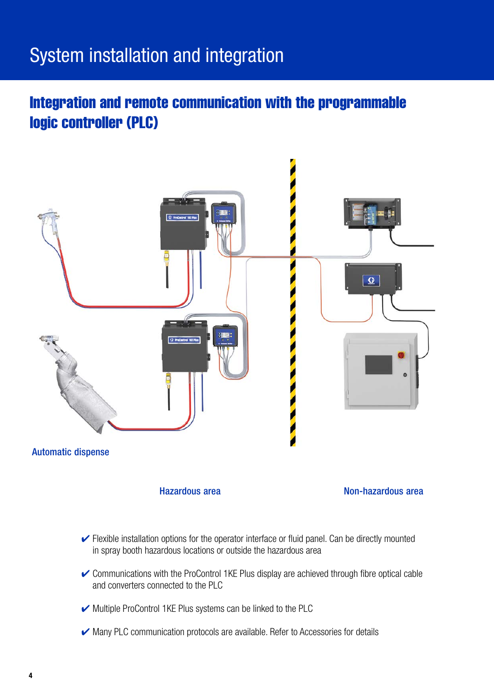# System installation and integration

# Integration and remote communication with the programmable logic controller (PLC)



- $\vee$  Flexible installation options for the operator interface or fluid panel. Can be directly mounted in spray booth hazardous locations or outside the hazardous area
- $\triangleright$  Communications with the ProControl 1KE Plus display are achieved through fibre optical cable and converters connected to the PLC
- ✔ Multiple ProControl 1KE Plus systems can be linked to the PLC
- ✔ Many PLC communication protocols are available. Refer to Accessories for details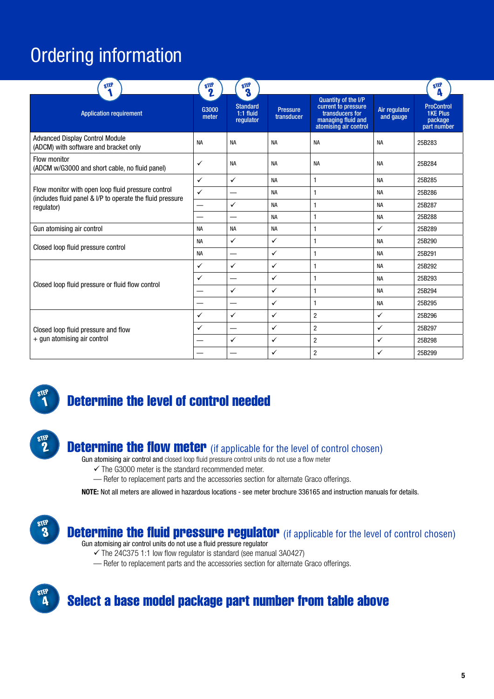# Ordering information

| STEP                                                                                                            | STEP<br>$\mathbf 2$ | STEP<br>3                                   |                               |                                                                                                                     |                            | STEP<br>Δ                                                      |
|-----------------------------------------------------------------------------------------------------------------|---------------------|---------------------------------------------|-------------------------------|---------------------------------------------------------------------------------------------------------------------|----------------------------|----------------------------------------------------------------|
| <b>Application requirement</b>                                                                                  | G3000<br>meter      | <b>Standard</b><br>$1:1$ fluid<br>requlator | <b>Pressure</b><br>transducer | <b>Quantity of the I/P</b><br>current to pressure<br>transducers for<br>managing fluid and<br>atomising air control | Air regulator<br>and gauge | <b>ProControl</b><br><b>1KE Plus</b><br>package<br>part number |
| <b>Advanced Display Control Module</b><br>(ADCM) with software and bracket only                                 | <b>NA</b>           | <b>NA</b>                                   | <b>NA</b>                     | <b>NA</b>                                                                                                           | <b>NA</b>                  | 25B283                                                         |
| Flow monitor<br>(ADCM w/G3000 and short cable, no fluid panel)                                                  | ✓                   | <b>NA</b>                                   | <b>NA</b>                     | <b>NA</b>                                                                                                           | <b>NA</b>                  | 25B284                                                         |
|                                                                                                                 | $\checkmark$        | $\checkmark$                                | <b>NA</b>                     | 1                                                                                                                   | <b>NA</b>                  | 25B285                                                         |
| Flow monitor with open loop fluid pressure control<br>(includes fluid panel & I/P to operate the fluid pressure | $\checkmark$        | $\overline{\phantom{0}}$                    | <b>NA</b>                     | $\mathbf{1}$                                                                                                        | <b>NA</b>                  | 25B286                                                         |
| regulator)                                                                                                      |                     | $\checkmark$                                | <b>NA</b>                     | $\mathbf{1}$                                                                                                        | <b>NA</b>                  | 25B287                                                         |
|                                                                                                                 |                     |                                             | <b>NA</b>                     | 1                                                                                                                   | <b>NA</b>                  | 25B288                                                         |
| Gun atomising air control                                                                                       | <b>NA</b>           | <b>NA</b>                                   | <b>NA</b>                     | 1                                                                                                                   | $\checkmark$               | 25B289                                                         |
|                                                                                                                 | <b>NA</b>           | $\checkmark$                                | ✓                             | $\mathbf{1}$                                                                                                        | <b>NA</b>                  | 25B290                                                         |
| Closed loop fluid pressure control                                                                              | <b>NA</b>           |                                             | ✓                             | 1                                                                                                                   | <b>NA</b>                  | 25B291                                                         |
|                                                                                                                 | $\checkmark$        | $\checkmark$                                | ✓                             | $\mathbf{1}$                                                                                                        | <b>NA</b>                  | 25B292                                                         |
|                                                                                                                 | $\checkmark$        | —                                           | $\checkmark$                  | $\mathbf{1}$                                                                                                        | <b>NA</b>                  | 25B293                                                         |
| Closed loop fluid pressure or fluid flow control                                                                |                     | $\checkmark$                                | $\checkmark$                  | $\mathbf{1}$                                                                                                        | <b>NA</b>                  | 25B294                                                         |
|                                                                                                                 |                     |                                             | ✓                             | $\mathbf{1}$                                                                                                        | <b>NA</b>                  | 25B295                                                         |
|                                                                                                                 | $\checkmark$        | $\checkmark$                                | $\checkmark$                  | $\overline{2}$                                                                                                      | $\checkmark$               | 25B296                                                         |
| Closed loop fluid pressure and flow                                                                             | $\checkmark$        | —                                           | $\checkmark$                  | $\overline{2}$                                                                                                      | ✓                          | 25B297                                                         |
| + gun atomising air control                                                                                     |                     | $\checkmark$                                | ✓                             | $\overline{2}$                                                                                                      | ✓                          | 25B298                                                         |
|                                                                                                                 |                     |                                             | ✓                             | $\overline{2}$                                                                                                      | ✓                          | 25B299                                                         |



STEP 2

# Determine the level of control needed

## **Determine the flow meter** (if applicable for the level of control chosen)

Gun atomising air control and closed loop fluid pressure control units do not use a flow meter

 $\checkmark$  The G3000 meter is the standard recommended meter.

— Refer to replacement parts and the accessories section for alternate Graco offerings.

NOTE: Not all meters are allowed in hazardous locations - see meter brochure 336165 and instruction manuals for details.



**Determine the fluid pressure regulator** (if applicable for the level of control chosen)

Gun atomising air control units do not use a fluid pressure regulator

 $\checkmark$  The 24C375 1:1 low flow regulator is standard (see manual 3A0427)

— Refer to replacement parts and the accessories section for alternate Graco offerings.



## Select a base model package part number from table above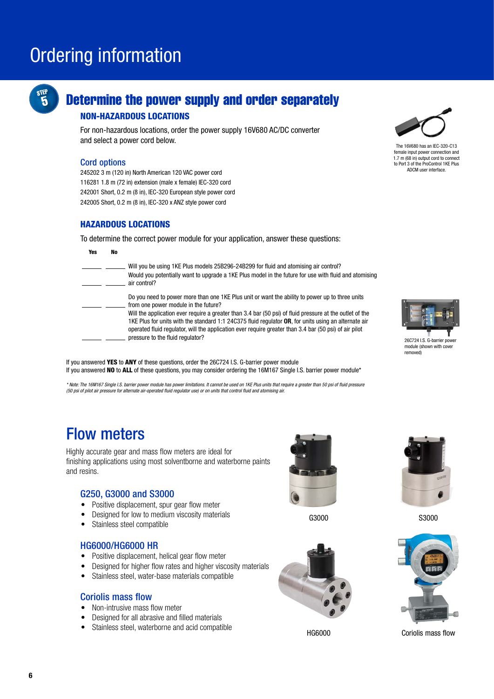# Ordering information



## Determine the power supply and order separately

#### NON-HAZARDOUS LOCATIONS

For non-hazardous locations, order the power supply 16V680 AC/DC converter and select a power cord below.

#### Cord options

245202 3 m (120 in) North American 120 VAC power cord 116281 1.8 m (72 in) extension (male x female) IEC-320 cord 242001 Short, 0.2 m (8 in), IEC-320 European style power cord 242005 Short, 0.2 m (8 in), IEC-320 x ANZ style power cord

#### HAZARDOUS LOCATIONS

To determine the correct power module for your application, answer these questions:

| Yes | No |                                                                                                                                                                                                                                                                                                                               |
|-----|----|-------------------------------------------------------------------------------------------------------------------------------------------------------------------------------------------------------------------------------------------------------------------------------------------------------------------------------|
|     |    | Will you be using 1KE Plus models 25B296-24B299 for fluid and atomising air control?<br>Would you potentially want to upgrade a 1KE Plus model in the future for use with fluid and atomising<br>air control?                                                                                                                 |
|     |    | Do you need to power more than one 1KE Plus unit or want the ability to power up to three units<br>from one power module in the future?                                                                                                                                                                                       |
|     |    | Will the application ever require a greater than 3.4 bar (50 psi) of fluid pressure at the outlet of the<br>1KE Plus for units with the standard 1:1 24C375 fluid regulator $OR$ , for units using an alternate air<br>operated fluid requlator, will the application ever require greater than 3.4 bar (50 psi) of air pilot |
|     |    | pressure to the fluid regulator?                                                                                                                                                                                                                                                                                              |

If you answered YES to ANY of these questions, order the 26C724 I.S. G-barrier power module If you answered NO to ALL of these questions, you may consider ordering the 16M167 Single I.S. barrier power module\*

*\* Note: The 16M167 Single I.S. barrier power module has power limitations. It cannot be used on 1KE Plus units that require a greater than 50 psi of fluid pressure (50 psi of pilot air pressure for alternate air-operated fluid regulator use) or on units that control fluid and atomising air.*

# Flow meters

Highly accurate gear and mass flow meters are ideal for finishing applications using most solventborne and waterborne paints and resins.

#### G250, G3000 and S3000

- Positive displacement, spur gear flow meter
- Designed for low to medium viscosity materials
- Stainless steel compatible

#### HG6000/HG6000 HR

- Positive displacement, helical gear flow meter
- Designed for higher flow rates and higher viscosity materials
- Stainless steel, water-base materials compatible

#### Coriolis mass flow

- Non-intrusive mass flow meter
- Designed for all abrasive and filled materials
- Stainless steel, waterborne and acid compatible



G3000





The 16V680 has an IEC-320-C13 female input power connection and 1.7 m (68 in) output cord to connect to Port 3 of the ProControl 1KE Plus ADCM user interface.



26C724 I.S. G-barrier powe module (shown with cover removed)



S3000



HG6000 Coriolis mass flow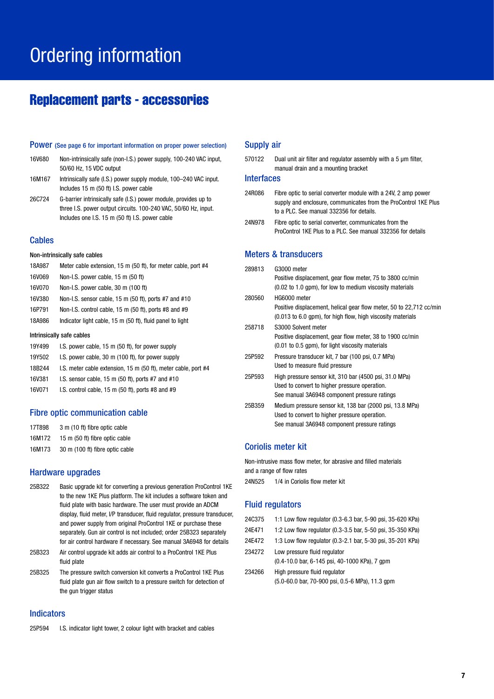# Ordering information

### Replacement parts - accessories

#### Power (See page 6 for important information on proper power selection)

- 16V680 Non-intrinsically safe (non-I.S.) power supply, 100-240 VAC input, 50/60 Hz, 15 VDC output
- 16M167 Intrinsically safe (I.S.) power supply module, 100–240 VAC input. Includes 15 m (50 ft) I.S. power cable
- 26C724 G-barrier intrinsically safe (I.S.) power module, provides up to three I.S. power output circuits. 100-240 VAC, 50/60 Hz, input. Includes one I.S. 15 m (50 ft) I.S. power cable

#### **Cables**

#### Non-intrinsically safe cables

- 18A987 Meter cable extension, 15 m (50 ft), for meter cable, port #4
- 16V069 Non-I.S. power cable, 15 m (50 ft)
- 16V070 Non-I.S. power cable, 30 m (100 ft)
- 16V380 Non-I.S. sensor cable, 15 m (50 ft), ports #7 and #10
- 16P791 Non-I.S. control cable, 15 m (50 ft), ports #8 and #9
- 18A986 Indicator light cable, 15 m (50 ft), fluid panel to light

#### Intrinsically safe cables

- 19Y499 I.S. power cable, 15 m (50 ft), for power supply
- 19Y502 I.S. power cable, 30 m (100 ft), for power supply
- 18B244 I.S. meter cable extension, 15 m (50 ft), meter cable, port #4
- 16V381 I.S. sensor cable, 15 m (50 ft), ports #7 and #10
- 16V071 I.S. control cable, 15 m (50 ft), ports #8 and #9

#### Fibre optic communication cable

| 17T898 |  | 3 m (10 ft) fibre optic cable |  |  |
|--------|--|-------------------------------|--|--|
|--------|--|-------------------------------|--|--|

- 16M172 15 m (50 ft) fibre optic cable
- 16M173 30 m (100 ft) fibre optic cable

#### Hardware upgrades

- 25B322 Basic upgrade kit for converting a previous generation ProControl 1KE to the new 1KE Plus platform. The kit includes a software token and fluid plate with basic hardware. The user must provide an ADCM display, fluid meter, I/P transducer, fluid regulator, pressure transducer, and power supply from original ProControl 1KE or purchase these separately. Gun air control is not included; order 25B323 separately for air control hardware if necessary. See manual 3A6948 for details
- 25B323 Air control upgrade kit adds air control to a ProControl 1KE Plus fluid plate
- 25B325 The pressure switch conversion kit converts a ProControl 1KE Plus fluid plate gun air flow switch to a pressure switch for detection of the gun trigger status

#### Indicators

25P594 I.S. indicator light tower, 2 colour light with bracket and cables

#### Supply air

| 570122 | Dual unit air filter and regulator assembly with a 5 um filter, |
|--------|-----------------------------------------------------------------|
|        | manual drain and a mounting bracket                             |

#### **Interfaces**

- 24R086 Fibre optic to serial converter module with a 24V, 2 amp power supply and enclosure, communicates from the ProControl 1KE Plus to a PLC. See manual 332356 for details.
- 24N978 Fibre optic to serial converter, communicates from the ProControl 1KE Plus to a PLC. See manual 332356 for details

#### Meters & transducers

| 289813 | G3000 meter                                                         |
|--------|---------------------------------------------------------------------|
|        | Positive displacement, gear flow meter, 75 to 3800 cc/min           |
|        | (0.02 to 1.0 qpm), for low to medium viscosity materials            |
| 280560 | HG6000 meter                                                        |
|        | Positive displacement, helical gear flow meter, 50 to 22,712 cc/min |
|        | (0.013 to 6.0 gpm), for high flow, high viscosity materials         |
| 258718 | S3000 Solvent meter                                                 |
|        | Positive displacement, gear flow meter, 38 to 1900 cc/min           |
|        | (0.01 to 0.5 gpm), for light viscosity materials                    |
| 25P592 | Pressure transducer kit, 7 bar (100 psi, 0.7 MPa)                   |
|        | Used to measure fluid pressure                                      |
| 25P593 | High pressure sensor kit, 310 bar (4500 psi, 31.0 MPa)              |
|        | Used to convert to higher pressure operation.                       |
|        | See manual 3A6948 component pressure ratings                        |
| 25B359 | Medium pressure sensor kit, 138 bar (2000 psi, 13.8 MPa)            |
|        | Used to convert to higher pressure operation.                       |

#### Coriolis meter kit

Non-intrusive mass flow meter, for abrasive and filled materials and a range of flow rates

See manual 3A6948 component pressure ratings

24N525 1/4 in Coriolis flow meter kit

#### Fluid regulators

- 24C375 1:1 Low flow regulator (0.3-6.3 bar, 5-90 psi, 35-620 KPa)
- 24E471 1:2 Low flow regulator (0.3-3.5 bar, 5-50 psi, 35-350 KPa)
- 24E472 1:3 Low flow regulator (0.3-2.1 bar, 5-30 psi, 35-201 KPa)
- 234272 Low pressure fluid regulator (0.4-10.0 bar, 6-145 psi, 40-1000 KPa), 7 gpm
- 234266 High pressure fluid regulator (5.0-60.0 bar, 70-900 psi, 0.5-6 MPa), 11.3 gpm